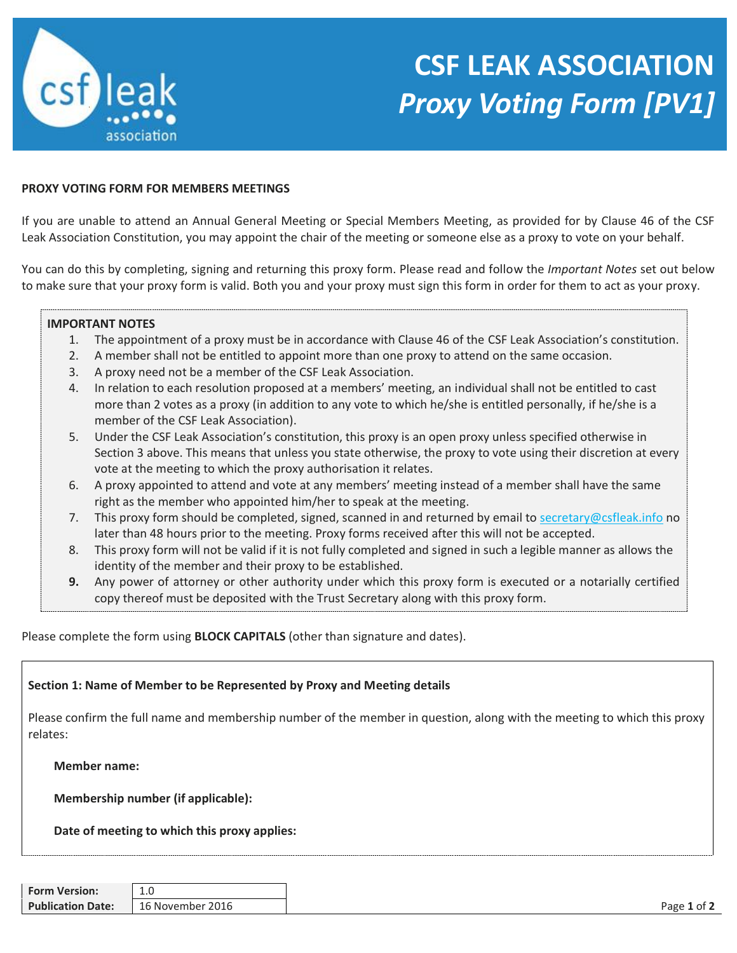

## **CSF LEAK ASSOCIATION** *Proxy Voting Form [PV1]*

## **PROXY VOTING FORM FOR MEMBERS MEETINGS**

If you are unable to attend an Annual General Meeting or Special Members Meeting, as provided for by Clause 46 of the CSF Leak Association Constitution, you may appoint the chair of the meeting or someone else as a proxy to vote on your behalf.

You can do this by completing, signing and returning this proxy form. Please read and follow the *Important Notes* set out below to make sure that your proxy form is valid. Both you and your proxy must sign this form in order for them to act as your proxy.

## **IMPORTANT NOTES**

- 1. The appointment of a proxy must be in accordance with Clause 46 of the CSF Leak Association's constitution.
- 2. A member shall not be entitled to appoint more than one proxy to attend on the same occasion.
- 3. A proxy need not be a member of the CSF Leak Association.
- 4. In relation to each resolution proposed at a members' meeting, an individual shall not be entitled to cast more than 2 votes as a proxy (in addition to any vote to which he/she is entitled personally, if he/she is a member of the CSF Leak Association).
- 5. Under the CSF Leak Association's constitution, this proxy is an open proxy unless specified otherwise in Section 3 above. This means that unless you state otherwise, the proxy to vote using their discretion at every vote at the meeting to which the proxy authorisation it relates.
- 6. A proxy appointed to attend and vote at any members' meeting instead of a member shall have the same right as the member who appointed him/her to speak at the meeting.
- 7. This proxy form should be completed, signed, scanned in and returned by email t[o secretary@csfleak.info](mailto:secretary@csfleak.info) no later than 48 hours prior to the meeting. Proxy forms received after this will not be accepted.
- 8. This proxy form will not be valid if it is not fully completed and signed in such a legible manner as allows the identity of the member and their proxy to be established.
- **9.** Any power of attorney or other authority under which this proxy form is executed or a notarially certified copy thereof must be deposited with the Trust Secretary along with this proxy form.

Please complete the form using **BLOCK CAPITALS** (other than signature and dates).

## **Section 1: Name of Member to be Represented by Proxy and Meeting details**

Please confirm the full name and membership number of the member in question, along with the meeting to which this proxy relates:

**Member name:** 

**Membership number (if applicable):** 

**Date of meeting to which this proxy applies:**

| <b>Form Version:</b>     | <b>1.U</b>           |                  |
|--------------------------|----------------------|------------------|
| <b>Publication Date:</b> | 16 November<br>.2016 | Page 1 of $\sim$ |